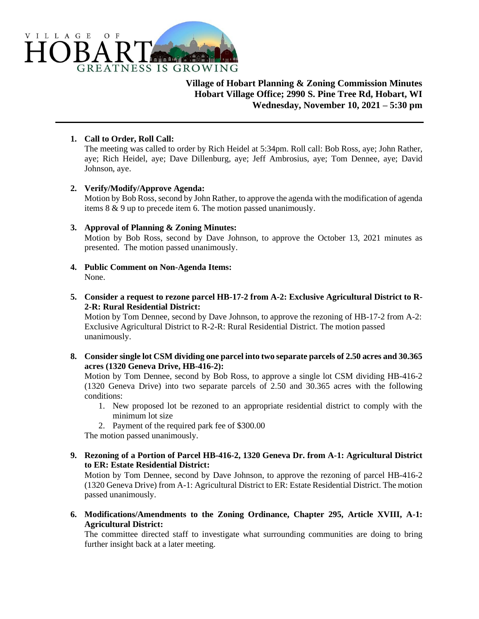

# **Village of Hobart Planning & Zoning Commission Minutes Hobart Village Office; 2990 S. Pine Tree Rd, Hobart, WI Wednesday, November 10, 2021 – 5:30 pm**

# **1. Call to Order, Roll Call:**

The meeting was called to order by Rich Heidel at 5:34pm. Roll call: Bob Ross, aye; John Rather, aye; Rich Heidel, aye; Dave Dillenburg, aye; Jeff Ambrosius, aye; Tom Dennee, aye; David Johnson, aye.

# **2. Verify/Modify/Approve Agenda:**

Motion by Bob Ross, second by John Rather, to approve the agenda with the modification of agenda items 8 & 9 up to precede item 6. The motion passed unanimously.

## **3. Approval of Planning & Zoning Minutes:**

Motion by Bob Ross, second by Dave Johnson, to approve the October 13, 2021 minutes as presented. The motion passed unanimously.

- **4. Public Comment on Non-Agenda Items:** None.
- **5. Consider a request to rezone parcel HB-17-2 from A-2: Exclusive Agricultural District to R-2-R: Rural Residential District:**

Motion by Tom Dennee, second by Dave Johnson, to approve the rezoning of HB-17-2 from A-2: Exclusive Agricultural District to R-2-R: Rural Residential District. The motion passed unanimously.

**8. Consider single lot CSM dividing one parcel into two separate parcels of 2.50 acres and 30.365 acres (1320 Geneva Drive, HB-416-2):**

Motion by Tom Dennee, second by Bob Ross, to approve a single lot CSM dividing HB-416-2 (1320 Geneva Drive) into two separate parcels of 2.50 and 30.365 acres with the following conditions:

- 1. New proposed lot be rezoned to an appropriate residential district to comply with the minimum lot size
- 2. Payment of the required park fee of \$300.00

The motion passed unanimously.

**9. Rezoning of a Portion of Parcel HB-416-2, 1320 Geneva Dr. from A-1: Agricultural District to ER: Estate Residential District:**

Motion by Tom Dennee, second by Dave Johnson, to approve the rezoning of parcel HB-416-2 (1320 Geneva Drive) from A-1: Agricultural District to ER: Estate Residential District. The motion passed unanimously.

**6. Modifications/Amendments to the Zoning Ordinance, Chapter 295, Article XVIII, A-1: Agricultural District:**

The committee directed staff to investigate what surrounding communities are doing to bring further insight back at a later meeting.